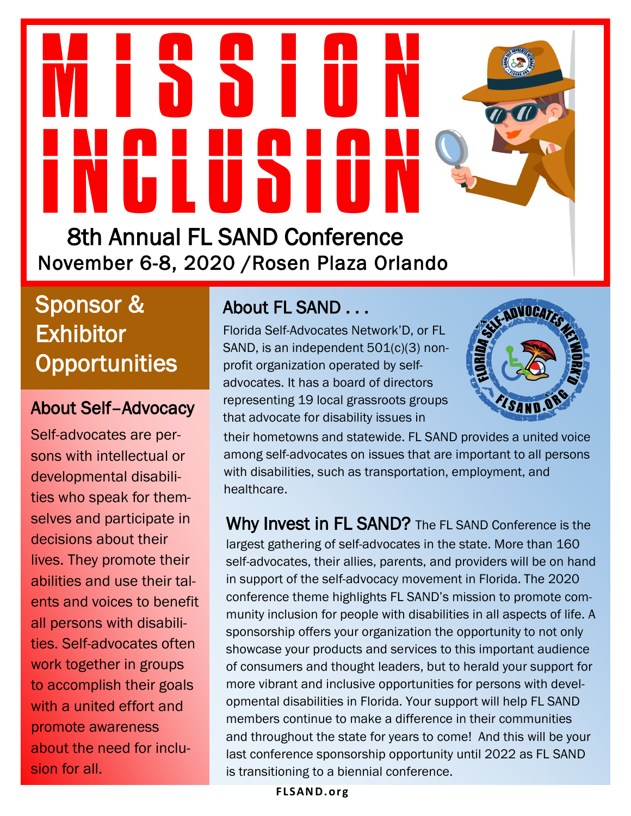# **M 18810N** INCLUSION

8th Annual FL SAND Conference November 6-8, 2020 /Rosen Plaza Orlando

Sponsor & **Exhibitor Opportunities** 

#### About Self–Advocacy

Self-advocates are persons with intellectual or developmental disabilities who speak for themselves and participate in decisions about their lives. They promote their abilities and use their talents and voices to benefit all persons with disabilities. Self-advocates often work together in groups to accomplish their goals with a united effort and promote awareness about the need for inclusion for all.

#### About FL SAND . . .

Florida Self-Advocates Network'D, or FL SAND, is an independent 501(c)(3) nonprofit organization operated by selfadvocates. It has a board of directors representing 19 local grassroots groups that advocate for disability issues in



their hometowns and statewide. FL SAND provides a united voice among self-advocates on issues that are important to all persons with disabilities, such as transportation, employment, and healthcare.

Why Invest in FL SAND? The FL SAND Conference is the largest gathering of self-advocates in the state. More than 160 self-advocates, their allies, parents, and providers will be on hand in support of the self-advocacy movement in Florida. The 2020 conference theme highlights FL SAND's mission to promote community inclusion for people with disabilities in all aspects of life. A sponsorship offers your organization the opportunity to not only showcase your products and services to this important audience of consumers and thought leaders, but to herald your support for more vibrant and inclusive opportunities for persons with developmental disabilities in Florida. Your support will help FL SAND members continue to make a difference in their communities and throughout the state for years to come! And this will be your last conference sponsorship opportunity until 2022 as FL SAND is transitioning to a biennial conference.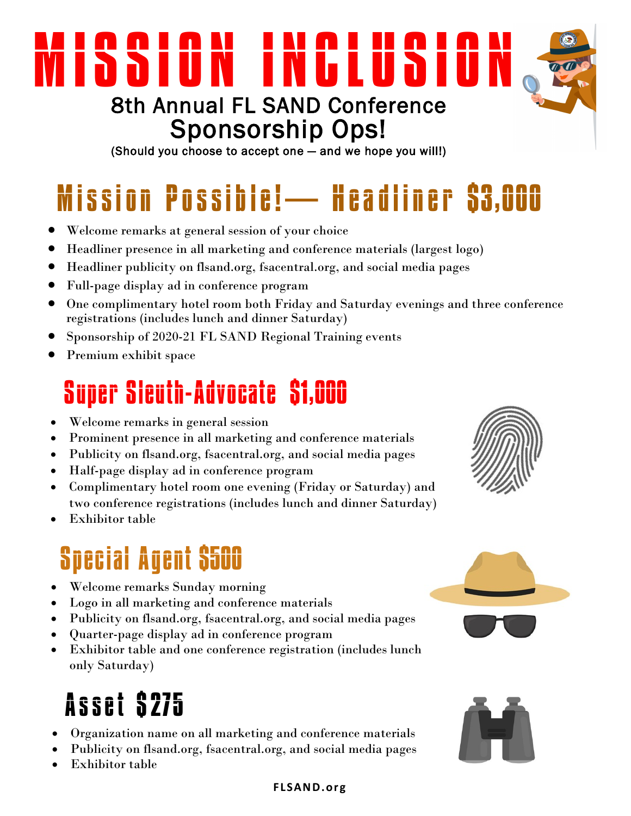## SSION INCLUSI 8th Annual FL SAND Conference Sponsorship Ops!

(Should you choose to accept one — and we hope you will!)

# Mission Possible! — Headliner S3,000

- Welcome remarks at general session of your choice
- Headliner presence in all marketing and conference materials (largest logo)
- Headliner publicity on flsand.org, fsacentral.org, and social media pages
- Full-page display ad in conference program
- One complimentary hotel room both Friday and Saturday evenings and three conference registrations (includes lunch and dinner Saturday)
- Sponsorship of 2020-21 FL SAND Regional Training events
- Premium exhibit space

## Super Sleuth-Advocate \$1,000

- Welcome remarks in general session
- Prominent presence in all marketing and conference materials
- Publicity on flsand.org, fsacentral.org, and social media pages
- Half-page display ad in conference program
- Complimentary hotel room one evening (Friday or Saturday) and two conference registrations (includes lunch and dinner Saturday)
- Exhibitor table

## Special Agent \$500

- Welcome remarks Sunday morning
- Logo in all marketing and conference materials
- Publicity on flsand.org, fsacentral.org, and social media pages
- Quarter-page display ad in conference program
- Exhibitor table and one conference registration (includes lunch only Saturday)

### A s s e t \$275

- Organization name on all marketing and conference materials
- Publicity on flsand.org, fsacentral.org, and social media pages
- Exhibitor table







#### **F LSAND. o rg**